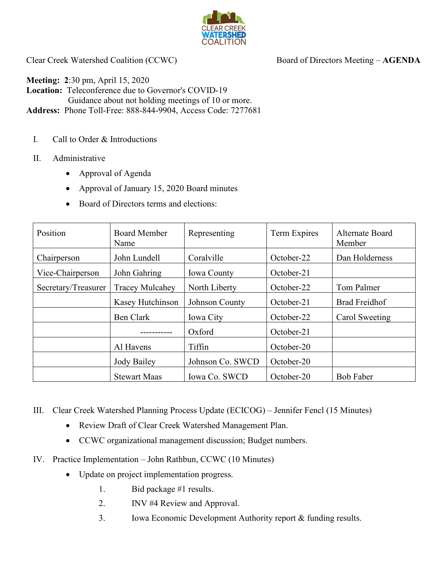

Clear Creek Watershed Coalition (CCWC) Board of Directors Meeting – **AGENDA** 

**Meeting: 2**:30 pm, April 15, 2020 **Location:** Teleconference due to Governor's COVID-19 Guidance about not holding meetings of 10 or more. **Address:** Phone Toll-Free: 888-844-9904, Access Code: 7277681

- I. Call to Order & Introductions
- II. Administrative
	- Approval of Agenda
	- Approval of January 15, 2020 Board minutes
	- Board of Directors terms and elections:

| Position            | Board Member<br>Name   | Representing       | Term Expires | Alternate Board<br>Member |
|---------------------|------------------------|--------------------|--------------|---------------------------|
| Chairperson         | John Lundell           | Coralville         | October-22   | Dan Holderness            |
| Vice-Chairperson    | John Gahring           | <b>Iowa County</b> | October-21   |                           |
| Secretary/Treasurer | <b>Tracey Mulcahey</b> | North Liberty      | October-22   | Tom Palmer                |
|                     | Kasey Hutchinson       | Johnson County     | October-21   | <b>Brad Freidhof</b>      |
|                     | Ben Clark              | Iowa City          | October-22   | Carol Sweeting            |
|                     |                        | Oxford             | October-21   |                           |
|                     | Al Havens              | Tiffin             | October-20   |                           |
|                     | Jody Bailey            | Johnson Co. SWCD   | October-20   |                           |
|                     | <b>Stewart Maas</b>    | Iowa Co. SWCD      | October-20   | <b>Bob Faber</b>          |

III. Clear Creek Watershed Planning Process Update (ECICOG) – Jennifer Fencl (15 Minutes)

- Review Draft of Clear Creek Watershed Management Plan.
- CCWC organizational management discussion; Budget numbers.
- IV. Practice Implementation John Rathbun, CCWC (10 Minutes)
	- Update on project implementation progress.
		- 1. Bid package #1 results.
		- 2. INV #4 Review and Approval.
		- 3. Iowa Economic Development Authority report & funding results.